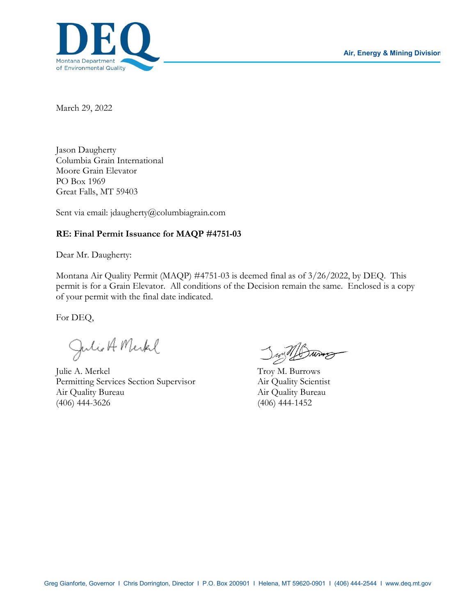

March 29, 2022

Jason Daugherty Columbia Grain International Moore Grain Elevator PO Box 1969 Great Falls, MT 59403

Sent via email: jdaugherty@columbiagrain.com

#### **RE: Final Permit Issuance for MAQP #4751-03**

Dear Mr. Daugherty:

Montana Air Quality Permit (MAQP) #4751-03 is deemed final as of 3/26/2022, by DEQ. This permit is for a Grain Elevator. All conditions of the Decision remain the same. Enclosed is a copy of your permit with the final date indicated.

For DEQ,

Julio A Merkel

Julie A. Merkel Troy M. Burrows Permitting Services Section Supervisor Air Quality Scientist Air Quality Bureau Air Quality Bureau (406) 444-3626 (406) 444-1452

Jun 11 Burns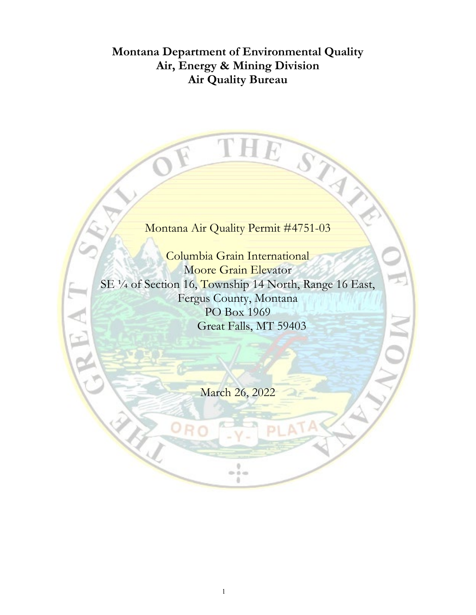# **Montana Department of Environmental Quality Air, Energy & Mining Division Air Quality Bureau**

# Montana Air Quality Permit #4751-03

THE

STATISTICS

Columbia Grain International Moore Grain Elevator SE 1/4 of Section 16, Township 14 North, Range 16 East, Fergus County, Montana PO Box 1969 Great Falls, MT 59403

EA

March 26, 2022

0  $0 - 0 = 0$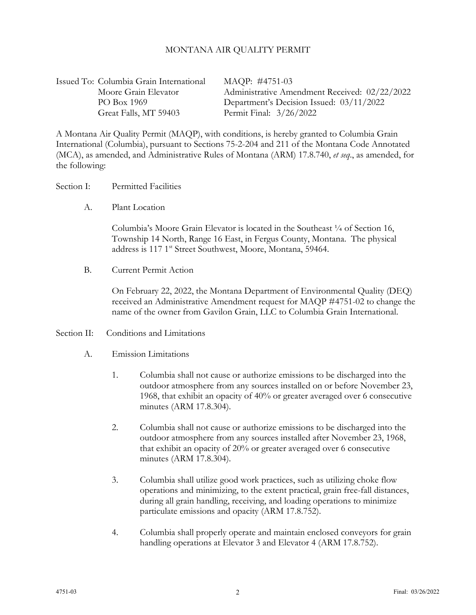#### MONTANA AIR QUALITY PERMIT

Issued To: Columbia Grain International MAQP: #4751-03 Great Falls, MT 59403 Permit Final: 3/26/2022

Moore Grain Elevator Administrative Amendment Received: 02/22/2022 PO Box 1969 Department's Decision Issued: 03/11/2022

A Montana Air Quality Permit (MAQP), with conditions, is hereby granted to Columbia Grain International (Columbia), pursuant to Sections 75-2-204 and 211 of the Montana Code Annotated (MCA), as amended, and Administrative Rules of Montana (ARM) 17.8.740, *et seq*., as amended, for the following:

#### Section I: Permitted Facilities

A. Plant Location

Columbia's Moore Grain Elevator is located in the Southeast ¼ of Section 16, Township 14 North, Range 16 East, in Fergus County, Montana. The physical address is 117 1<sup>st</sup> Street Southwest, Moore, Montana, 59464.

B. Current Permit Action

On February 22, 2022, the Montana Department of Environmental Quality (DEQ) received an Administrative Amendment request for MAQP #4751-02 to change the name of the owner from Gavilon Grain, LLC to Columbia Grain International.

#### Section II: Conditions and Limitations

- A. Emission Limitations
	- 1. Columbia shall not cause or authorize emissions to be discharged into the outdoor atmosphere from any sources installed on or before November 23, 1968, that exhibit an opacity of 40% or greater averaged over 6 consecutive minutes (ARM 17.8.304).
	- 2. Columbia shall not cause or authorize emissions to be discharged into the outdoor atmosphere from any sources installed after November 23, 1968, that exhibit an opacity of 20% or greater averaged over 6 consecutive minutes (ARM 17.8.304).
	- 3. Columbia shall utilize good work practices, such as utilizing choke flow operations and minimizing, to the extent practical, grain free-fall distances, during all grain handling, receiving, and loading operations to minimize particulate emissions and opacity (ARM 17.8.752).
	- 4. Columbia shall properly operate and maintain enclosed conveyors for grain handling operations at Elevator 3 and Elevator 4 (ARM 17.8.752).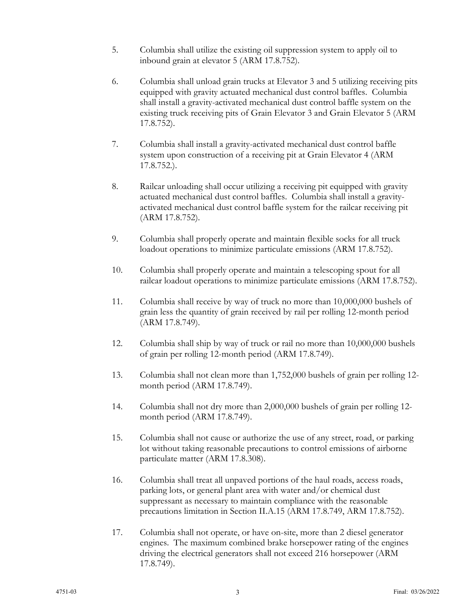- 5. Columbia shall utilize the existing oil suppression system to apply oil to inbound grain at elevator 5 (ARM 17.8.752).
- 6. Columbia shall unload grain trucks at Elevator 3 and 5 utilizing receiving pits equipped with gravity actuated mechanical dust control baffles. Columbia shall install a gravity-activated mechanical dust control baffle system on the existing truck receiving pits of Grain Elevator 3 and Grain Elevator 5 (ARM 17.8.752).
- 7. Columbia shall install a gravity-activated mechanical dust control baffle system upon construction of a receiving pit at Grain Elevator 4 (ARM 17.8.752.).
- 8. Railcar unloading shall occur utilizing a receiving pit equipped with gravity actuated mechanical dust control baffles. Columbia shall install a gravityactivated mechanical dust control baffle system for the railcar receiving pit (ARM 17.8.752).
- 9. Columbia shall properly operate and maintain flexible socks for all truck loadout operations to minimize particulate emissions (ARM 17.8.752).
- 10. Columbia shall properly operate and maintain a telescoping spout for all railcar loadout operations to minimize particulate emissions (ARM 17.8.752).
- 11. Columbia shall receive by way of truck no more than 10,000,000 bushels of grain less the quantity of grain received by rail per rolling 12-month period (ARM 17.8.749).
- 12. Columbia shall ship by way of truck or rail no more than 10,000,000 bushels of grain per rolling 12-month period (ARM 17.8.749).
- 13. Columbia shall not clean more than 1,752,000 bushels of grain per rolling 12 month period (ARM 17.8.749).
- 14. Columbia shall not dry more than 2,000,000 bushels of grain per rolling 12 month period (ARM 17.8.749).
- 15. Columbia shall not cause or authorize the use of any street, road, or parking lot without taking reasonable precautions to control emissions of airborne particulate matter (ARM 17.8.308).
- 16. Columbia shall treat all unpaved portions of the haul roads, access roads, parking lots, or general plant area with water and/or chemical dust suppressant as necessary to maintain compliance with the reasonable precautions limitation in Section II.A.15 (ARM 17.8.749, ARM 17.8.752).
- 17. Columbia shall not operate, or have on-site, more than 2 diesel generator engines. The maximum combined brake horsepower rating of the engines driving the electrical generators shall not exceed 216 horsepower (ARM 17.8.749).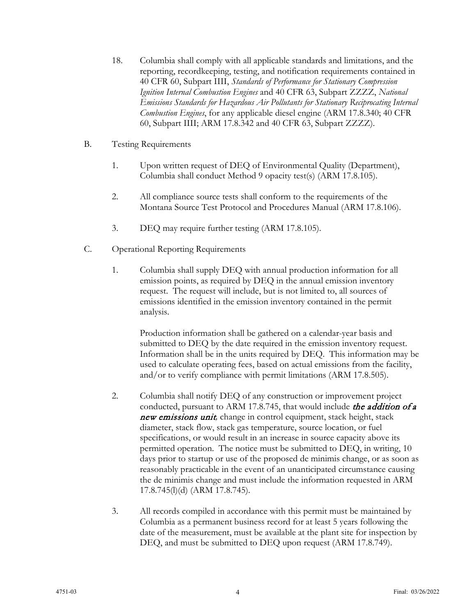- 18. Columbia shall comply with all applicable standards and limitations, and the reporting, recordkeeping, testing, and notification requirements contained in 40 CFR 60, Subpart IIII, *Standards of Performance for Stationary Compression Ignition Internal Combustion Engines* and 40 CFR 63, Subpart ZZZZ, *National Emissions Standards for Hazardous Air Pollutants for Stationary Reciprocating Internal Combustion Engines*, for any applicable diesel engine (ARM 17.8.340; 40 CFR 60, Subpart IIII; ARM 17.8.342 and 40 CFR 63, Subpart ZZZZ).
- B. Testing Requirements
	- 1. Upon written request of DEQ of Environmental Quality (Department), Columbia shall conduct Method 9 opacity test(s) (ARM 17.8.105).
	- 2. All compliance source tests shall conform to the requirements of the Montana Source Test Protocol and Procedures Manual (ARM 17.8.106).
	- 3. DEQ may require further testing (ARM 17.8.105).
- C. Operational Reporting Requirements
	- 1. Columbia shall supply DEQ with annual production information for all emission points, as required by DEQ in the annual emission inventory request. The request will include, but is not limited to, all sources of emissions identified in the emission inventory contained in the permit analysis.

Production information shall be gathered on a calendar-year basis and submitted to DEQ by the date required in the emission inventory request. Information shall be in the units required by DEQ. This information may be used to calculate operating fees, based on actual emissions from the facility, and/or to verify compliance with permit limitations (ARM 17.8.505).

- 2. Columbia shall notify DEQ of any construction or improvement project conducted, pursuant to ARM 17.8.745, that would include the addition of a new emissions unit*,* change in control equipment, stack height, stack diameter, stack flow, stack gas temperature, source location, or fuel specifications, or would result in an increase in source capacity above its permitted operation. The notice must be submitted to DEQ, in writing, 10 days prior to startup or use of the proposed de minimis change, or as soon as reasonably practicable in the event of an unanticipated circumstance causing the de minimis change and must include the information requested in ARM 17.8.745(l)(d) (ARM 17.8.745).
- 3. All records compiled in accordance with this permit must be maintained by Columbia as a permanent business record for at least 5 years following the date of the measurement, must be available at the plant site for inspection by DEQ, and must be submitted to DEQ upon request (ARM 17.8.749).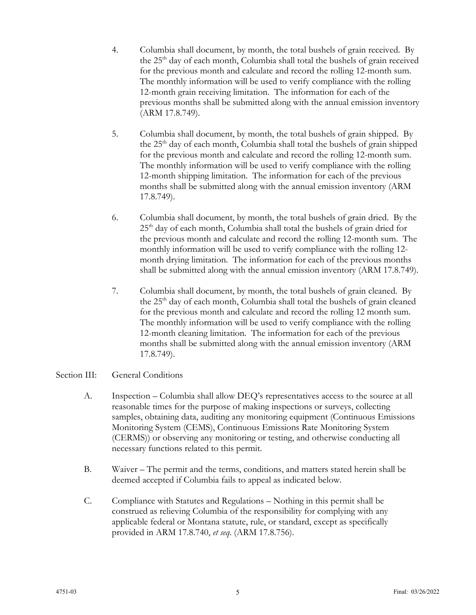- 4. Columbia shall document, by month, the total bushels of grain received. By the  $25<sup>th</sup>$  day of each month, Columbia shall total the bushels of grain received for the previous month and calculate and record the rolling 12-month sum. The monthly information will be used to verify compliance with the rolling 12-month grain receiving limitation. The information for each of the previous months shall be submitted along with the annual emission inventory (ARM 17.8.749).
- 5. Columbia shall document, by month, the total bushels of grain shipped. By the 25<sup>th</sup> day of each month, Columbia shall total the bushels of grain shipped for the previous month and calculate and record the rolling 12-month sum. The monthly information will be used to verify compliance with the rolling 12-month shipping limitation. The information for each of the previous months shall be submitted along with the annual emission inventory (ARM 17.8.749).
- 6. Columbia shall document, by month, the total bushels of grain dried. By the  $25<sup>th</sup>$  day of each month, Columbia shall total the bushels of grain dried for the previous month and calculate and record the rolling 12-month sum. The monthly information will be used to verify compliance with the rolling 12 month drying limitation. The information for each of the previous months shall be submitted along with the annual emission inventory (ARM 17.8.749).
- 7. Columbia shall document, by month, the total bushels of grain cleaned. By the 25<sup>th</sup> day of each month, Columbia shall total the bushels of grain cleaned for the previous month and calculate and record the rolling 12 month sum. The monthly information will be used to verify compliance with the rolling 12-month cleaning limitation. The information for each of the previous months shall be submitted along with the annual emission inventory (ARM 17.8.749).

## Section III: General Conditions

- A. Inspection Columbia shall allow DEQ's representatives access to the source at all reasonable times for the purpose of making inspections or surveys, collecting samples, obtaining data, auditing any monitoring equipment (Continuous Emissions Monitoring System (CEMS), Continuous Emissions Rate Monitoring System (CERMS)) or observing any monitoring or testing, and otherwise conducting all necessary functions related to this permit.
- B. Waiver The permit and the terms, conditions, and matters stated herein shall be deemed accepted if Columbia fails to appeal as indicated below.
- C. Compliance with Statutes and Regulations Nothing in this permit shall be construed as relieving Columbia of the responsibility for complying with any applicable federal or Montana statute, rule, or standard, except as specifically provided in ARM 17.8.740, *et seq*. (ARM 17.8.756).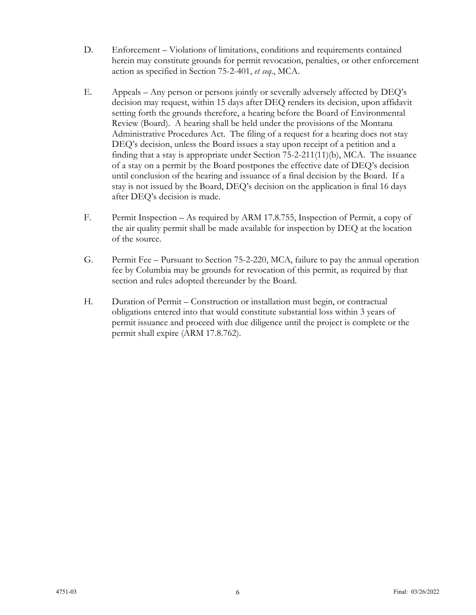- D. Enforcement Violations of limitations, conditions and requirements contained herein may constitute grounds for permit revocation, penalties, or other enforcement action as specified in Section 75-2-401, *et seq*., MCA.
- E. Appeals Any person or persons jointly or severally adversely affected by DEQ's decision may request, within 15 days after DEQ renders its decision, upon affidavit setting forth the grounds therefore, a hearing before the Board of Environmental Review (Board). A hearing shall be held under the provisions of the Montana Administrative Procedures Act. The filing of a request for a hearing does not stay DEQ's decision, unless the Board issues a stay upon receipt of a petition and a finding that a stay is appropriate under Section 75-2-211(11)(b), MCA. The issuance of a stay on a permit by the Board postpones the effective date of DEQ's decision until conclusion of the hearing and issuance of a final decision by the Board. If a stay is not issued by the Board, DEQ's decision on the application is final 16 days after DEQ's decision is made.
- F. Permit Inspection As required by ARM 17.8.755, Inspection of Permit, a copy of the air quality permit shall be made available for inspection by DEQ at the location of the source.
- G. Permit Fee Pursuant to Section 75-2-220, MCA, failure to pay the annual operation fee by Columbia may be grounds for revocation of this permit, as required by that section and rules adopted thereunder by the Board.
- H. Duration of Permit Construction or installation must begin, or contractual obligations entered into that would constitute substantial loss within 3 years of permit issuance and proceed with due diligence until the project is complete or the permit shall expire (ARM 17.8.762).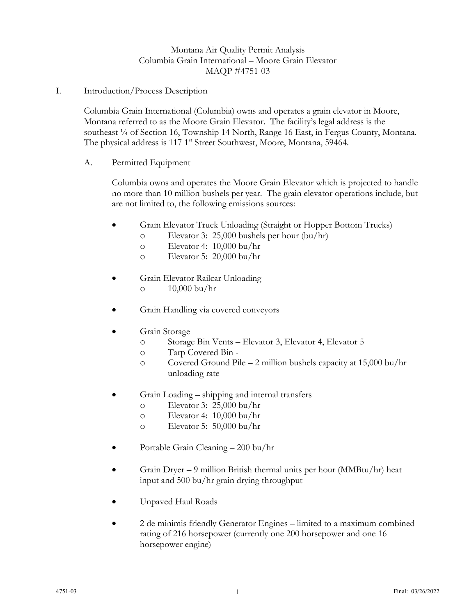# Montana Air Quality Permit Analysis Columbia Grain International – Moore Grain Elevator MAQP #4751-03

I. Introduction/Process Description

Columbia Grain International (Columbia) owns and operates a grain elevator in Moore, Montana referred to as the Moore Grain Elevator. The facility's legal address is the southeast <sup>1</sup>/4 of Section 16, Township 14 North, Range 16 East, in Fergus County, Montana. The physical address is 117 1<sup>st</sup> Street Southwest, Moore, Montana, 59464.

A. Permitted Equipment

Columbia owns and operates the Moore Grain Elevator which is projected to handle no more than 10 million bushels per year. The grain elevator operations include, but are not limited to, the following emissions sources:

- Grain Elevator Truck Unloading (Straight or Hopper Bottom Trucks)
	- o Elevator 3: 25,000 bushels per hour (bu/hr)
	- o Elevator 4: 10,000 bu/hr
	- o Elevator 5: 20,000 bu/hr
- Grain Elevator Railcar Unloading o 10,000 bu/hr
	-
- Grain Handling via covered conveyors
- Grain Storage
	- o Storage Bin Vents Elevator 3, Elevator 4, Elevator 5
	- o Tarp Covered Bin -
	- o Covered Ground Pile 2 million bushels capacity at 15,000 bu/hr unloading rate
- Grain Loading shipping and internal transfers
	- o Elevator 3: 25,000 bu/hr
	- o Elevator 4: 10,000 bu/hr
	- o Elevator 5: 50,000 bu/hr
- Portable Grain Cleaning 200 bu/hr
- Grain Dryer 9 million British thermal units per hour (MMBtu/hr) heat input and 500 bu/hr grain drying throughput
- Unpaved Haul Roads
- 2 de minimis friendly Generator Engines limited to a maximum combined rating of 216 horsepower (currently one 200 horsepower and one 16 horsepower engine)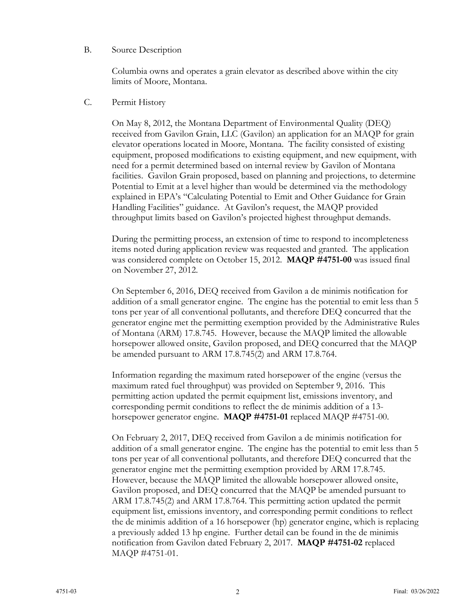#### B. Source Description

Columbia owns and operates a grain elevator as described above within the city limits of Moore, Montana.

## C. Permit History

On May 8, 2012, the Montana Department of Environmental Quality (DEQ) received from Gavilon Grain, LLC (Gavilon) an application for an MAQP for grain elevator operations located in Moore, Montana. The facility consisted of existing equipment, proposed modifications to existing equipment, and new equipment, with need for a permit determined based on internal review by Gavilon of Montana facilities. Gavilon Grain proposed, based on planning and projections, to determine Potential to Emit at a level higher than would be determined via the methodology explained in EPA's "Calculating Potential to Emit and Other Guidance for Grain Handling Facilities" guidance. At Gavilon's request, the MAQP provided throughput limits based on Gavilon's projected highest throughput demands.

During the permitting process, an extension of time to respond to incompleteness items noted during application review was requested and granted. The application was considered complete on October 15, 2012. **MAQP #4751-00** was issued final on November 27, 2012.

On September 6, 2016, DEQ received from Gavilon a de minimis notification for addition of a small generator engine. The engine has the potential to emit less than 5 tons per year of all conventional pollutants, and therefore DEQ concurred that the generator engine met the permitting exemption provided by the Administrative Rules of Montana (ARM) 17.8.745. However, because the MAQP limited the allowable horsepower allowed onsite, Gavilon proposed, and DEQ concurred that the MAQP be amended pursuant to ARM 17.8.745(2) and ARM 17.8.764.

Information regarding the maximum rated horsepower of the engine (versus the maximum rated fuel throughput) was provided on September 9, 2016. This permitting action updated the permit equipment list, emissions inventory, and corresponding permit conditions to reflect the de minimis addition of a 13 horsepower generator engine. **MAQP #4751-01** replaced MAQP #4751-00.

On February 2, 2017, DEQ received from Gavilon a de minimis notification for addition of a small generator engine. The engine has the potential to emit less than 5 tons per year of all conventional pollutants, and therefore DEQ concurred that the generator engine met the permitting exemption provided by ARM 17.8.745. However, because the MAQP limited the allowable horsepower allowed onsite, Gavilon proposed, and DEQ concurred that the MAQP be amended pursuant to ARM 17.8.745(2) and ARM 17.8.764. This permitting action updated the permit equipment list, emissions inventory, and corresponding permit conditions to reflect the de minimis addition of a 16 horsepower (hp) generator engine, which is replacing a previously added 13 hp engine. Further detail can be found in the de minimis notification from Gavilon dated February 2, 2017. **MAQP #4751-02** replaced MAQP #4751-01.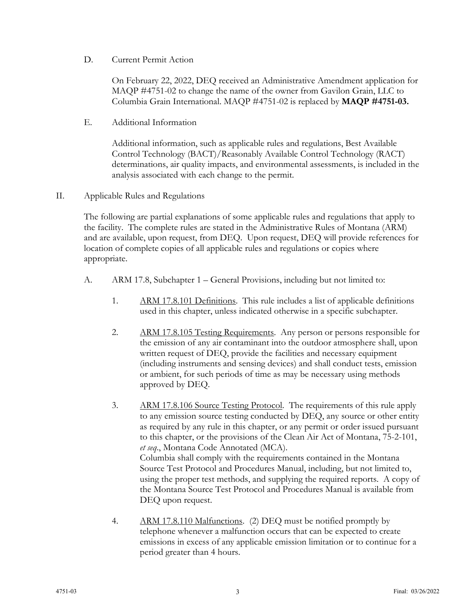D. Current Permit Action

On February 22, 2022, DEQ received an Administrative Amendment application for MAQP #4751-02 to change the name of the owner from Gavilon Grain, LLC to Columbia Grain International. MAQP #4751-02 is replaced by **MAQP #4751-03.**

E. Additional Information

Additional information, such as applicable rules and regulations, Best Available Control Technology (BACT)/Reasonably Available Control Technology (RACT) determinations, air quality impacts, and environmental assessments, is included in the analysis associated with each change to the permit.

II. Applicable Rules and Regulations

The following are partial explanations of some applicable rules and regulations that apply to the facility. The complete rules are stated in the Administrative Rules of Montana (ARM) and are available, upon request, from DEQ. Upon request, DEQ will provide references for location of complete copies of all applicable rules and regulations or copies where appropriate.

- A. ARM 17.8, Subchapter 1 General Provisions, including but not limited to:
	- 1. ARM 17.8.101 Definitions. This rule includes a list of applicable definitions used in this chapter, unless indicated otherwise in a specific subchapter.
	- 2. ARM 17.8.105 Testing Requirements. Any person or persons responsible for the emission of any air contaminant into the outdoor atmosphere shall, upon written request of DEQ, provide the facilities and necessary equipment (including instruments and sensing devices) and shall conduct tests, emission or ambient, for such periods of time as may be necessary using methods approved by DEQ.
	- 3. ARM 17.8.106 Source Testing Protocol. The requirements of this rule apply to any emission source testing conducted by DEQ, any source or other entity as required by any rule in this chapter, or any permit or order issued pursuant to this chapter, or the provisions of the Clean Air Act of Montana, 75-2-101, *et seq*., Montana Code Annotated (MCA). Columbia shall comply with the requirements contained in the Montana Source Test Protocol and Procedures Manual, including, but not limited to, using the proper test methods, and supplying the required reports. A copy of the Montana Source Test Protocol and Procedures Manual is available from DEQ upon request.
	- 4. ARM 17.8.110 Malfunctions. (2) DEQ must be notified promptly by telephone whenever a malfunction occurs that can be expected to create emissions in excess of any applicable emission limitation or to continue for a period greater than 4 hours.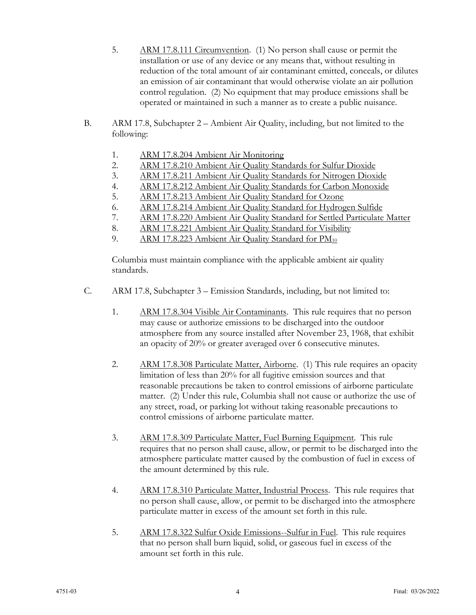- 5. ARM 17.8.111 Circumvention. (1) No person shall cause or permit the installation or use of any device or any means that, without resulting in reduction of the total amount of air contaminant emitted, conceals, or dilutes an emission of air contaminant that would otherwise violate an air pollution control regulation. (2) No equipment that may produce emissions shall be operated or maintained in such a manner as to create a public nuisance.
- B. ARM 17.8, Subchapter 2 Ambient Air Quality, including, but not limited to the following:
	- 1. ARM 17.8.204 Ambient Air Monitoring
	- 2. ARM 17.8.210 Ambient Air Quality Standards for Sulfur Dioxide
	- 3. ARM 17.8.211 Ambient Air Quality Standards for Nitrogen Dioxide
	- 4. ARM 17.8.212 Ambient Air Quality Standards for Carbon Monoxide
	- 5. ARM 17.8.213 Ambient Air Quality Standard for Ozone
	- 6. ARM 17.8.214 Ambient Air Quality Standard for Hydrogen Sulfide
	- 7. ARM 17.8.220 Ambient Air Quality Standard for Settled Particulate Matter
	- 8. ARM 17.8.221 Ambient Air Quality Standard for Visibility
	- 9. ARM 17.8.223 Ambient Air Quality Standard for PM<sub>10</sub>

Columbia must maintain compliance with the applicable ambient air quality standards.

- C. ARM 17.8, Subchapter 3 Emission Standards, including, but not limited to:
	- 1. ARM 17.8.304 Visible Air Contaminants. This rule requires that no person may cause or authorize emissions to be discharged into the outdoor atmosphere from any source installed after November 23, 1968, that exhibit an opacity of 20% or greater averaged over 6 consecutive minutes.
	- 2. ARM 17.8.308 Particulate Matter, Airborne. (1) This rule requires an opacity limitation of less than 20% for all fugitive emission sources and that reasonable precautions be taken to control emissions of airborne particulate matter. (2) Under this rule, Columbia shall not cause or authorize the use of any street, road, or parking lot without taking reasonable precautions to control emissions of airborne particulate matter.
	- 3. ARM 17.8.309 Particulate Matter, Fuel Burning Equipment. This rule requires that no person shall cause, allow, or permit to be discharged into the atmosphere particulate matter caused by the combustion of fuel in excess of the amount determined by this rule.
	- 4. ARM 17.8.310 Particulate Matter, Industrial Process. This rule requires that no person shall cause, allow, or permit to be discharged into the atmosphere particulate matter in excess of the amount set forth in this rule.
	- 5. ARM 17.8.322 Sulfur Oxide Emissions--Sulfur in Fuel. This rule requires that no person shall burn liquid, solid, or gaseous fuel in excess of the amount set forth in this rule.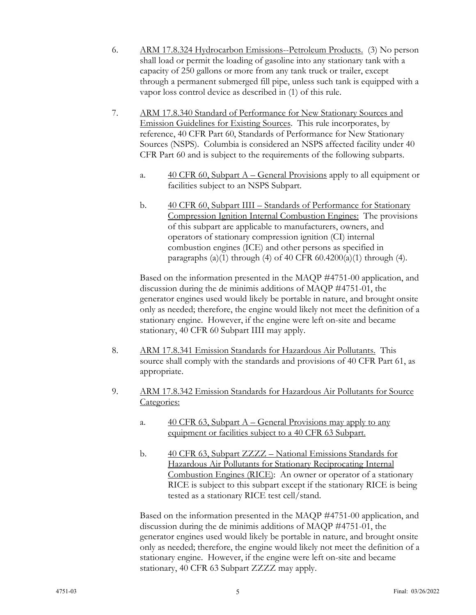- 6. ARM 17.8.324 Hydrocarbon Emissions--Petroleum Products. (3) No person shall load or permit the loading of gasoline into any stationary tank with a capacity of 250 gallons or more from any tank truck or trailer, except through a permanent submerged fill pipe, unless such tank is equipped with a vapor loss control device as described in (1) of this rule.
- 7. ARM 17.8.340 Standard of Performance for New Stationary Sources and Emission Guidelines for Existing Sources. This rule incorporates, by reference, 40 CFR Part 60, Standards of Performance for New Stationary Sources (NSPS). Columbia is considered an NSPS affected facility under 40 CFR Part 60 and is subject to the requirements of the following subparts.
	- a.  $40 \text{ CFR } 60$ , Subpart A General Provisions apply to all equipment or facilities subject to an NSPS Subpart.
	- b. 40 CFR 60, Subpart IIII Standards of Performance for Stationary Compression Ignition Internal Combustion Engines: The provisions of this subpart are applicable to manufacturers, owners, and operators of stationary compression ignition (CI) internal combustion engines (ICE) and other persons as specified in paragraphs (a)(1) through (4) of 40 CFR  $60.4200(a)(1)$  through (4).

Based on the information presented in the MAQP #4751-00 application, and discussion during the de minimis additions of MAQP #4751-01, the generator engines used would likely be portable in nature, and brought onsite only as needed; therefore, the engine would likely not meet the definition of a stationary engine. However, if the engine were left on-site and became stationary, 40 CFR 60 Subpart IIII may apply.

- 8. ARM 17.8.341 Emission Standards for Hazardous Air Pollutants. This source shall comply with the standards and provisions of 40 CFR Part 61, as appropriate.
- 9. ARM 17.8.342 Emission Standards for Hazardous Air Pollutants for Source Categories:
	- a. 40 CFR 63, Subpart A General Provisions may apply to any equipment or facilities subject to a 40 CFR 63 Subpart.
	- b. 40 CFR 63, Subpart ZZZZ National Emissions Standards for Hazardous Air Pollutants for Stationary Reciprocating Internal Combustion Engines (RICE): An owner or operator of a stationary RICE is subject to this subpart except if the stationary RICE is being tested as a stationary RICE test cell/stand.

Based on the information presented in the MAQP #4751-00 application, and discussion during the de minimis additions of MAQP #4751-01, the generator engines used would likely be portable in nature, and brought onsite only as needed; therefore, the engine would likely not meet the definition of a stationary engine. However, if the engine were left on-site and became stationary, 40 CFR 63 Subpart ZZZZ may apply.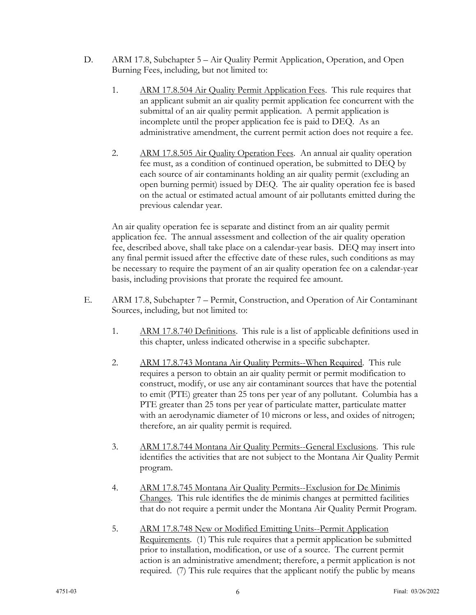- D. ARM 17.8, Subchapter 5 Air Quality Permit Application, Operation, and Open Burning Fees, including, but not limited to:
	- 1. ARM 17.8.504 Air Quality Permit Application Fees. This rule requires that an applicant submit an air quality permit application fee concurrent with the submittal of an air quality permit application. A permit application is incomplete until the proper application fee is paid to DEQ. As an administrative amendment, the current permit action does not require a fee.
	- 2. ARM 17.8.505 Air Quality Operation Fees. An annual air quality operation fee must, as a condition of continued operation, be submitted to DEQ by each source of air contaminants holding an air quality permit (excluding an open burning permit) issued by DEQ. The air quality operation fee is based on the actual or estimated actual amount of air pollutants emitted during the previous calendar year.

An air quality operation fee is separate and distinct from an air quality permit application fee. The annual assessment and collection of the air quality operation fee, described above, shall take place on a calendar-year basis. DEQ may insert into any final permit issued after the effective date of these rules, such conditions as may be necessary to require the payment of an air quality operation fee on a calendar-year basis, including provisions that prorate the required fee amount.

- E. ARM 17.8, Subchapter 7 Permit, Construction, and Operation of Air Contaminant Sources, including, but not limited to:
	- 1. ARM 17.8.740 Definitions. This rule is a list of applicable definitions used in this chapter, unless indicated otherwise in a specific subchapter.
	- 2. ARM 17.8.743 Montana Air Quality Permits--When Required. This rule requires a person to obtain an air quality permit or permit modification to construct, modify, or use any air contaminant sources that have the potential to emit (PTE) greater than 25 tons per year of any pollutant. Columbia has a PTE greater than 25 tons per year of particulate matter, particulate matter with an aerodynamic diameter of 10 microns or less, and oxides of nitrogen; therefore, an air quality permit is required.
	- 3. ARM 17.8.744 Montana Air Quality Permits--General Exclusions. This rule identifies the activities that are not subject to the Montana Air Quality Permit program.
	- 4. ARM 17.8.745 Montana Air Quality Permits--Exclusion for De Minimis Changes. This rule identifies the de minimis changes at permitted facilities that do not require a permit under the Montana Air Quality Permit Program.
	- 5. ARM 17.8.748 New or Modified Emitting Units--Permit Application Requirements. (1) This rule requires that a permit application be submitted prior to installation, modification, or use of a source. The current permit action is an administrative amendment; therefore, a permit application is not required. (7) This rule requires that the applicant notify the public by means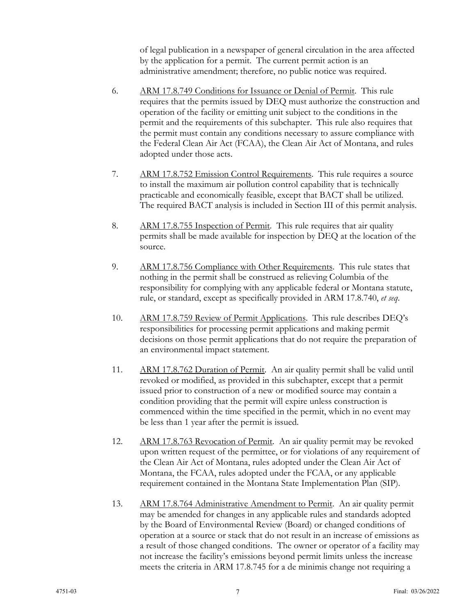of legal publication in a newspaper of general circulation in the area affected by the application for a permit. The current permit action is an administrative amendment; therefore, no public notice was required.

- 6. ARM 17.8.749 Conditions for Issuance or Denial of Permit. This rule requires that the permits issued by DEQ must authorize the construction and operation of the facility or emitting unit subject to the conditions in the permit and the requirements of this subchapter. This rule also requires that the permit must contain any conditions necessary to assure compliance with the Federal Clean Air Act (FCAA), the Clean Air Act of Montana, and rules adopted under those acts.
- 7. ARM 17.8.752 Emission Control Requirements. This rule requires a source to install the maximum air pollution control capability that is technically practicable and economically feasible, except that BACT shall be utilized. The required BACT analysis is included in Section III of this permit analysis.
- 8. ARM 17.8.755 Inspection of Permit. This rule requires that air quality permits shall be made available for inspection by DEQ at the location of the source.
- 9. ARM 17.8.756 Compliance with Other Requirements. This rule states that nothing in the permit shall be construed as relieving Columbia of the responsibility for complying with any applicable federal or Montana statute, rule, or standard, except as specifically provided in ARM 17.8.740, *et seq*.
- 10. ARM 17.8.759 Review of Permit Applications. This rule describes DEQ's responsibilities for processing permit applications and making permit decisions on those permit applications that do not require the preparation of an environmental impact statement.
- 11. ARM 17.8.762 Duration of Permit. An air quality permit shall be valid until revoked or modified, as provided in this subchapter, except that a permit issued prior to construction of a new or modified source may contain a condition providing that the permit will expire unless construction is commenced within the time specified in the permit, which in no event may be less than 1 year after the permit is issued.
- 12. ARM 17.8.763 Revocation of Permit. An air quality permit may be revoked upon written request of the permittee, or for violations of any requirement of the Clean Air Act of Montana, rules adopted under the Clean Air Act of Montana, the FCAA, rules adopted under the FCAA, or any applicable requirement contained in the Montana State Implementation Plan (SIP).
- 13. ARM 17.8.764 Administrative Amendment to Permit. An air quality permit may be amended for changes in any applicable rules and standards adopted by the Board of Environmental Review (Board) or changed conditions of operation at a source or stack that do not result in an increase of emissions as a result of those changed conditions. The owner or operator of a facility may not increase the facility's emissions beyond permit limits unless the increase meets the criteria in ARM 17.8.745 for a de minimis change not requiring a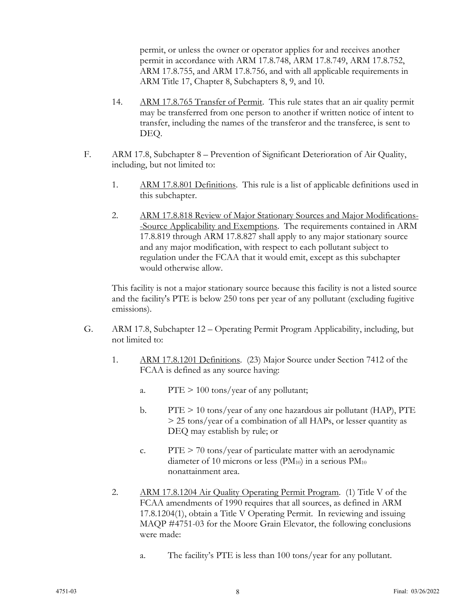permit, or unless the owner or operator applies for and receives another permit in accordance with ARM 17.8.748, ARM 17.8.749, ARM 17.8.752, ARM 17.8.755, and ARM 17.8.756, and with all applicable requirements in ARM Title 17, Chapter 8, Subchapters 8, 9, and 10.

- 14. ARM 17.8.765 Transfer of Permit. This rule states that an air quality permit may be transferred from one person to another if written notice of intent to transfer, including the names of the transferor and the transferee, is sent to DEQ.
- F. ARM 17.8, Subchapter 8 Prevention of Significant Deterioration of Air Quality, including, but not limited to:
	- 1. ARM 17.8.801 Definitions. This rule is a list of applicable definitions used in this subchapter.
	- 2. ARM 17.8.818 Review of Major Stationary Sources and Major Modifications- -Source Applicability and Exemptions. The requirements contained in ARM 17.8.819 through ARM 17.8.827 shall apply to any major stationary source and any major modification, with respect to each pollutant subject to regulation under the FCAA that it would emit, except as this subchapter would otherwise allow.

This facility is not a major stationary source because this facility is not a listed source and the facility's PTE is below 250 tons per year of any pollutant (excluding fugitive emissions).

- G. ARM 17.8, Subchapter 12 Operating Permit Program Applicability, including, but not limited to:
	- 1. ARM 17.8.1201 Definitions. (23) Major Source under Section 7412 of the FCAA is defined as any source having:
		- a.  $PTE > 100 \text{ tons/year}$  of any pollutant;
		- b. PTE > 10 tons/year of any one hazardous air pollutant (HAP), PTE > 25 tons/year of a combination of all HAPs, or lesser quantity as DEQ may establish by rule; or
		- c.  $PTE > 70$  tons/year of particulate matter with an aerodynamic diameter of 10 microns or less ( $PM_{10}$ ) in a serious  $PM_{10}$ nonattainment area.
	- 2. ARM 17.8.1204 Air Quality Operating Permit Program. (1) Title V of the FCAA amendments of 1990 requires that all sources, as defined in ARM 17.8.1204(1), obtain a Title V Operating Permit. In reviewing and issuing MAQP #4751-03 for the Moore Grain Elevator, the following conclusions were made:
		- a. The facility's PTE is less than 100 tons/year for any pollutant.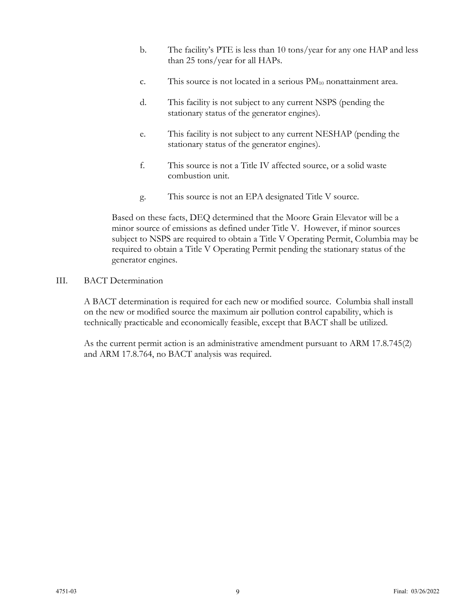- b. The facility's PTE is less than 10 tons/year for any one HAP and less than 25 tons/year for all HAPs.
- c. This source is not located in a serious  $PM_{10}$  nonattainment area.
- d. This facility is not subject to any current NSPS (pending the stationary status of the generator engines).
- e. This facility is not subject to any current NESHAP (pending the stationary status of the generator engines).
- f. This source is not a Title IV affected source, or a solid waste combustion unit.
- g. This source is not an EPA designated Title V source.

Based on these facts, DEQ determined that the Moore Grain Elevator will be a minor source of emissions as defined under Title V. However, if minor sources subject to NSPS are required to obtain a Title V Operating Permit, Columbia may be required to obtain a Title V Operating Permit pending the stationary status of the generator engines.

#### III. BACT Determination

A BACT determination is required for each new or modified source. Columbia shall install on the new or modified source the maximum air pollution control capability, which is technically practicable and economically feasible, except that BACT shall be utilized.

As the current permit action is an administrative amendment pursuant to ARM 17.8.745(2) and ARM 17.8.764, no BACT analysis was required.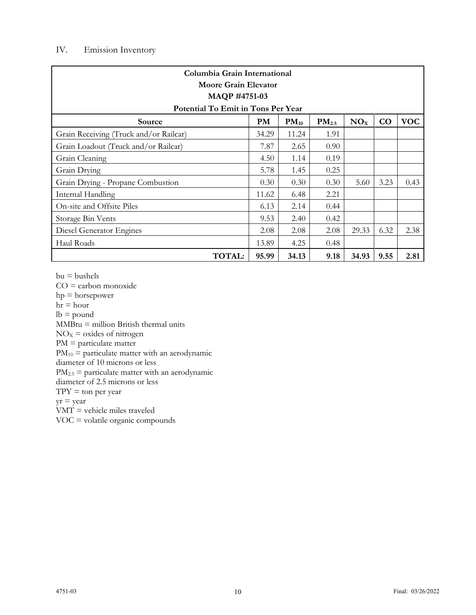# IV. Emission Inventory

| Columbia Grain International<br>Moore Grain Elevator<br><b>MAQP #4751-03</b>                                                |       |       |      |       |      |      |
|-----------------------------------------------------------------------------------------------------------------------------|-------|-------|------|-------|------|------|
| Potential To Emit in Tons Per Year<br><b>VOC</b><br>$PM_{2.5}$<br>NO <sub>x</sub><br>CO<br><b>PM</b><br>$PM_{10}$<br>Source |       |       |      |       |      |      |
| Grain Receiving (Truck and/or Railcar)                                                                                      | 34.29 | 11.24 | 1.91 |       |      |      |
| Grain Loadout (Truck and/or Railcar)                                                                                        | 7.87  | 2.65  | 0.90 |       |      |      |
| Grain Cleaning                                                                                                              | 4.50  | 1.14  | 0.19 |       |      |      |
| Grain Drying                                                                                                                | 5.78  | 1.45  | 0.25 |       |      |      |
| Grain Drying - Propane Combustion                                                                                           | 0.30  | 0.30  | 0.30 | 5.60  | 3.23 | 0.43 |
| Internal Handling                                                                                                           | 11.62 | 6.48  | 2.21 |       |      |      |
| On-site and Offsite Piles                                                                                                   | 6.13  | 2.14  | 0.44 |       |      |      |
| Storage Bin Vents                                                                                                           | 9.53  | 2.40  | 0.42 |       |      |      |
| Diesel Generator Engines                                                                                                    | 2.08  | 2.08  | 2.08 | 29.33 | 6.32 | 2.38 |
| Haul Roads                                                                                                                  | 13.89 | 4.25  | 0.48 |       |      |      |
| <b>TOTAL:</b>                                                                                                               | 95.99 | 34.13 | 9.18 | 34.93 | 9.55 | 2.81 |

 $bu = bushels$ 

CO = carbon monoxide hp = horsepower  $hr = hour$  $\mathrm{lb} = \mathrm{pound}$ MMBtu = million British thermal units  $NO<sub>X</sub> =$  oxides of nitrogen PM = particulate matter  $PM_{10}$  = particulate matter with an aerodynamic diameter of 10 microns or less  $PM_{2.5}$  = particulate matter with an aerodynamic diameter of 2.5 microns or less  $TPY = \text{ton per year}$  $yr = year$ VMT = vehicle miles traveled VOC = volatile organic compounds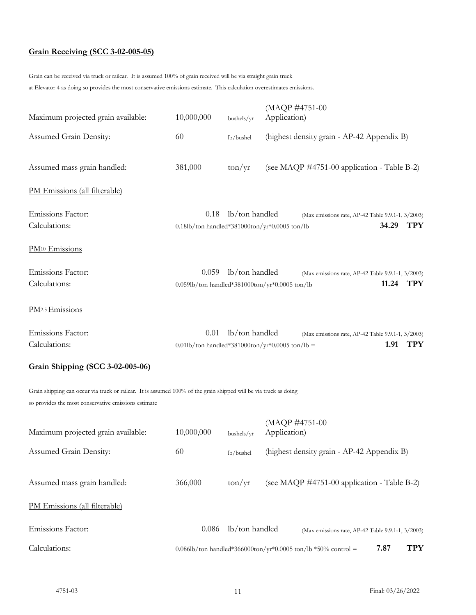# **Grain Receiving (SCC 3-02-005-05)**

Grain can be received via truck or railcar. It is assumed 100% of grain received will be via straight grain truck at Elevator 4 as doing so provides the most conservative emissions estimate. This calculation overestimates emissions.

| Maximum projected grain available: | 10,000,000                                                 | bushels/yr               | (MAQP #4751-00<br>Application)                                           |
|------------------------------------|------------------------------------------------------------|--------------------------|--------------------------------------------------------------------------|
| Assumed Grain Density:             | 60                                                         | lb/bushel                | (highest density grain - AP-42 Appendix B)                               |
| Assumed mass grain handled:        | 381,000                                                    | $\frac{\tan}{\text{yr}}$ | (see MAQP #4751-00 application - Table B-2)                              |
| PM Emissions (all filterable)      |                                                            |                          |                                                                          |
| Emissions Factor:<br>Calculations: | 0.18<br>$0.18$ lb/ton handled*381000ton/yr*0.0005 ton/lb   | lb/ton handled           | (Max emissions rate, AP-42 Table 9.9.1-1, 3/2003)<br><b>TPY</b><br>34.29 |
| PM <sup>10</sup> Emissions         |                                                            |                          |                                                                          |
| Emissions Factor:<br>Calculations: | 0.059<br>$0.059$ lb/ton handled*381000ton/yr*0.0005 ton/lb | lb/ton handled           | (Max emissions rate, AP-42 Table 9.9.1-1, 3/2003)<br><b>TPY</b><br>11.24 |
| PM <sub>2.5</sub> Emissions        |                                                            |                          |                                                                          |
| Emissions Factor:<br>Calculations: | 0.01<br>0.01lb/ton handled*381000ton/yr*0.0005 ton/lb =    | lb/ton handled           | (Max emissions rate, AP-42 Table 9.9.1-1, 3/2003)<br>1.91<br>TPY         |

# **Grain Shipping (SCC 3-02-005-06)**

Grain shipping can occur via truck or railcar. It is assumed 100% of the grain shipped will be via truck as doing so provides the most conservative emissions estimate

| Calculations:                      |            |                          | TPY<br>7.87<br>0.086lb/ton handled*366000ton/yr*0.0005 ton/lb *50% control = |
|------------------------------------|------------|--------------------------|------------------------------------------------------------------------------|
| Emissions Factor:                  | 0.086      | lb/ton handled           | (Max emissions rate, AP-42 Table 9.9.1-1, 3/2003)                            |
| PM Emissions (all filterable)      |            |                          |                                                                              |
| Assumed mass grain handled:        | 366,000    | $\frac{\tan}{\text{yr}}$ | (see MAQP #4751-00 application - Table B-2)                                  |
| Assumed Grain Density:             | 60         | lb/bushel                | (highest density grain - AP-42 Appendix B)                                   |
| Maximum projected grain available: | 10,000,000 | bushels/vr               | (MAQP #4751-00<br>Application)                                               |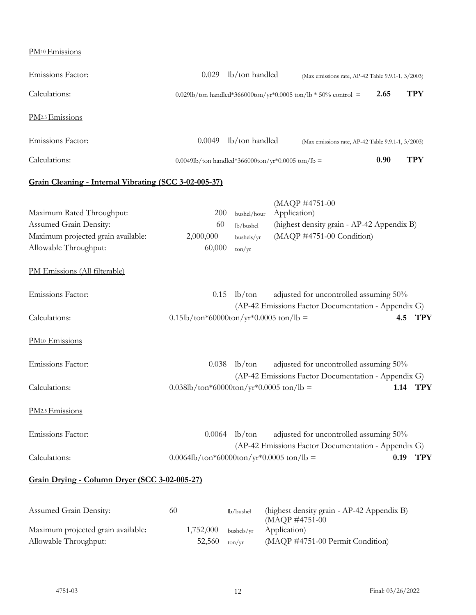PM<sup>10</sup>Emissions

| Emissions Factor:                                                                                                                                   | 0.029                                             | lb/ton handled                                                   | (Max emissions rate, AP-42 Table 9.9.1-1, 3/2003)                                                         |      |                    |
|-----------------------------------------------------------------------------------------------------------------------------------------------------|---------------------------------------------------|------------------------------------------------------------------|-----------------------------------------------------------------------------------------------------------|------|--------------------|
| Calculations:                                                                                                                                       |                                                   | 0.029lb/ton handled*366000ton/yr*0.0005 ton/lb * 50% control =   |                                                                                                           | 2.65 | <b>TPY</b>         |
| PM <sub>2.5</sub> Emissions                                                                                                                         |                                                   |                                                                  |                                                                                                           |      |                    |
| Emissions Factor:                                                                                                                                   | 0.0049                                            | lb/ton handled                                                   | (Max emissions rate, AP-42 Table 9.9.1-1, 3/2003)                                                         |      |                    |
| Calculations:                                                                                                                                       |                                                   |                                                                  | 0.0049lb/ton handled*366000ton/yr*0.0005 ton/lb =                                                         | 0.90 | <b>TPY</b>         |
| Grain Cleaning - Internal Vibrating (SCC 3-02-005-37)                                                                                               |                                                   |                                                                  |                                                                                                           |      |                    |
| Maximum Rated Throughput:<br>Assumed Grain Density:<br>Maximum projected grain available:<br>Allowable Throughput:<br>PM Emissions (All filterable) | 200<br>60<br>2,000,000<br>60,000                  | bushel/hour<br>lb/bushel<br>bushels/yr<br>$\text{ton}/\text{yr}$ | (MAQP #4751-00<br>Application)<br>(highest density grain - AP-42 Appendix B)<br>(MAQP #4751-00 Condition) |      |                    |
|                                                                                                                                                     |                                                   |                                                                  |                                                                                                           |      |                    |
| Emissions Factor:<br>Calculations:                                                                                                                  | 0.15<br>$0.15$ lb/ton*60000ton/yr*0.0005 ton/lb = | $lb$ /ton                                                        | adjusted for uncontrolled assuming 50%<br>(AP-42 Emissions Factor Documentation - Appendix G)             |      | <b>TPY</b><br>4.5  |
| PM <sup>10</sup> Emissions                                                                                                                          |                                                   |                                                                  |                                                                                                           |      |                    |
| Emissions Factor:                                                                                                                                   | 0.038                                             | $lb$ /ton                                                        | adjusted for uncontrolled assuming 50%<br>(AP-42 Emissions Factor Documentation - Appendix G)             |      |                    |
| Calculations:                                                                                                                                       | $0.038$ lb/ton*60000ton/yr*0.0005 ton/lb =        |                                                                  |                                                                                                           |      | 1.14<br><b>TPY</b> |
| PM <sub>2.5</sub> Emissions                                                                                                                         |                                                   |                                                                  |                                                                                                           |      |                    |
| Emissions Factor:                                                                                                                                   | 0.0064                                            | $lb$ /ton                                                        | adjusted for uncontrolled assuming 50%<br>(AP-42 Emissions Factor Documentation - Appendix G)             |      |                    |
| Calculations:                                                                                                                                       | $0.0064$ lb/ton*60000ton/yr*0.0005 ton/lb =       |                                                                  |                                                                                                           | 0.19 | <b>TPY</b>         |
| Grain Drying - Column Dryer (SCC 3-02-005-27)                                                                                                       |                                                   |                                                                  |                                                                                                           |      |                    |
| Assumed Grain Density:<br>Maximum projected grain available:                                                                                        | 60<br>1,752,000                                   | lb/bushel<br>bushels/yr                                          | (highest density grain - AP-42 Appendix B)<br>(MAQP #4751-00<br>Application)                              |      |                    |
| Allowable Throughput:                                                                                                                               | 52,560                                            | $\text{ton/yr}$                                                  | (MAQP #4751-00 Permit Condition)                                                                          |      |                    |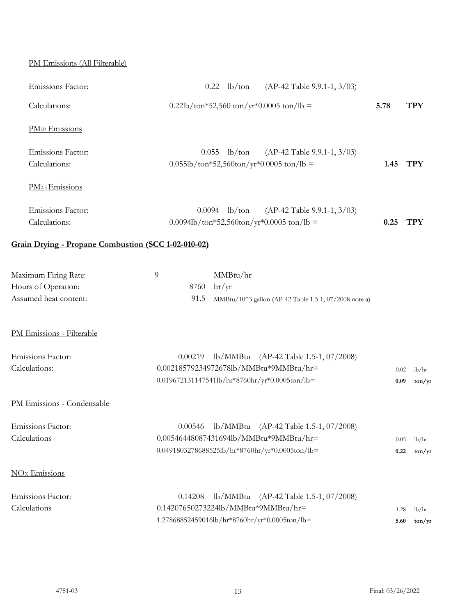# PM Emissions (All Filterable)

| Emissions Factor:                                   | $(AP-42 Table 9.9.1-1, 3/03)$<br>$0.22$ lb/ton                                           |      |                     |
|-----------------------------------------------------|------------------------------------------------------------------------------------------|------|---------------------|
| Calculations:                                       | $0.22\text{lb}/\text{ton}^*52,560 \text{ ton}/\text{yr}^*0.0005 \text{ ton}/\text{lb} =$ | 5.78 | <b>TPY</b>          |
| PM <sup>10</sup> Emissions                          |                                                                                          |      |                     |
| Emissions Factor:                                   | $0.055$ lb/ton<br>$(AP-42 Table 9.9.1-1, 3/03)$                                          |      |                     |
| Calculations:                                       | $0.055$ lb/ton*52,560ton/yr*0.0005 ton/lb =                                              | 1.45 | <b>TPY</b>          |
| PM <sub>2.5</sub> Emissions                         |                                                                                          |      |                     |
| Emissions Factor:                                   | $0.0094$ lb/ton<br>$(AP-42 Table 9.9.1-1, 3/03)$                                         |      |                     |
| Calculations:                                       | $0.0094$ lb/ton*52,560ton/yr*0.0005 ton/lb =                                             | 0.25 | <b>TPY</b>          |
| Grain Drying - Propane Combustion (SCC 1-02-010-02) |                                                                                          |      |                     |
| Maximum Firing Rate:                                | 9<br>MMBtu/hr                                                                            |      |                     |
| Hours of Operation:                                 | hr/yr<br>8760                                                                            |      |                     |
| Assumed heat content:                               | 91.5<br>MMBtu/10^3 gallon (AP-42 Table 1.5-1, 07/2008 note a)                            |      |                     |
| PM Emissions - Filterable                           |                                                                                          |      |                     |
| Emissions Factor:                                   | lb/MMBtu (AP-42 Table 1.5-1, 07/2008)<br>0.00219                                         |      |                     |
| Calculations:                                       | 0.00218579234972678lb/MMBtu*9MMBtu/hr=                                                   | 0.02 | lb/hr               |
|                                                     | 0.019672131147541lb/hr*8760hr/yr*0.0005ton/lb=                                           | 0.09 | $\frac{\tan(y)}{y}$ |
| PM Emissions - Condensable                          |                                                                                          |      |                     |
| <b>Emissions Factor:</b>                            | 0.00546 lb/MMBtu (AP-42 Table 1.5-1, 07/2008)                                            |      |                     |
| Calculations                                        | 0.00546448087431694lb/MMBtu*9MMBtu/hr=                                                   | 0.05 | lb/hr               |
|                                                     | 0.0491803278688525lb/hr*8760hr/yr*0.0005ton/lb=                                          | 0.22 | $\frac{\tan(y)}{y}$ |
| NO <sub>x</sub> Emissions                           |                                                                                          |      |                     |
| Emissions Factor:                                   | lb/MMBtu (AP-42 Table 1.5-1, 07/2008)<br>0.14208                                         |      |                     |
| Calculations                                        | 0.14207650273224lb/MMBtu*9MMBtu/hr=                                                      | 1.28 | lb/hr               |
|                                                     | 1.27868852459016lb/hr*8760hr/yr*0.0005ton/lb=                                            | 5.60 | $\frac{\tan(y)}{y}$ |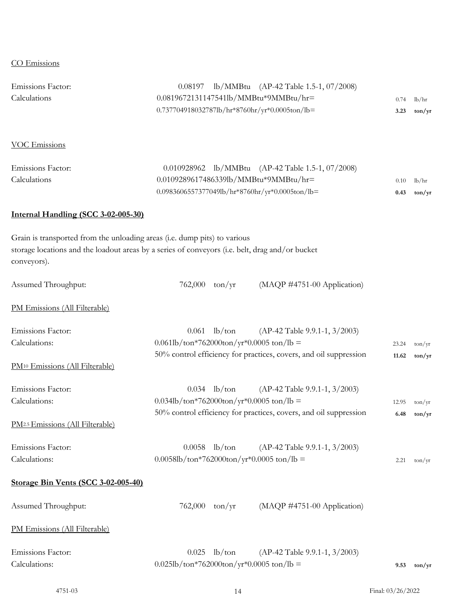## CO Emissions

| Emissions Factor:<br>Calculations                                                        | lb/MMBtu (AP-42 Table 1.5-1, 07/2008)<br>0.08197<br>0.0819672131147541lb/MMBtu*9MMBtu/hr=<br>0.737704918032787lb/hr*8760hr/yr*0.0005ton/lb=                                                                      | 0.74<br>3.23   | lb/hr<br>$\text{ton/yr}$                         |
|------------------------------------------------------------------------------------------|------------------------------------------------------------------------------------------------------------------------------------------------------------------------------------------------------------------|----------------|--------------------------------------------------|
| <b>VOC Emissions</b>                                                                     |                                                                                                                                                                                                                  |                |                                                  |
| Emissions Factor:<br>Calculations                                                        | 0.010928962 lb/MMBtu (AP-42 Table 1.5-1, 07/2008)<br>0.0109289617486339lb/MMBtu*9MMBtu/hr=<br>0.0983606557377049lb/hr*8760hr/yr*0.0005ton/lb=                                                                    | 0.10<br>0.43   | lb/hr<br>$\text{ton/yr}$                         |
| Internal Handling (SCC 3-02-005-30)                                                      |                                                                                                                                                                                                                  |                |                                                  |
| Grain is transported from the unloading areas (i.e. dump pits) to various<br>conveyors). | storage locations and the loadout areas by a series of conveyors (i.e. belt, drag and/or bucket                                                                                                                  |                |                                                  |
| Assumed Throughput:                                                                      | 762,000<br>$\text{ton/yr}$<br>(MAQP #4751-00 Application)                                                                                                                                                        |                |                                                  |
| PM Emissions (All Filterable)                                                            |                                                                                                                                                                                                                  |                |                                                  |
| Emissions Factor:<br>Calculations:<br>PM <sup>10</sup> Emissions (All Filterable)        | 0.061<br>$lb$ /ton<br>$(AP-42 Table 9.9.1-1, 3/2003)$<br>$0.061\text{lb}/\text{ton*}762000\text{ton}/\text{yr*}0.0005\text{ ton}/\text{lb}$<br>50% control efficiency for practices, covers, and oil suppression | 23.24<br>11.62 | $\text{ton}/\text{yr}$<br>$\text{ton/yr}$        |
| Emissions Factor:<br>Calculations:<br>PM <sub>2.5</sub> Emissions (All Filterable)       | $0.034$ lb/ton<br>$(AP-42 Table 9.9.1-1, 3/2003)$<br>$0.034$ lb/ton*762000ton/yr*0.0005 ton/lb =<br>50% control efficiency for practices, covers, and oil suppression                                            | 12.95<br>6.48  | $\text{ton}/\text{yr}$<br>$\text{ton}/\text{yr}$ |
| Emissions Factor:<br>Calculations:                                                       | $0.0058$ lb/ton<br>$(AP-42 Table 9.9.1-1, 3/2003)$<br>$0.0058$ lb/ton*762000ton/yr*0.0005 ton/lb =                                                                                                               | 2.21           | $\text{ton}/\text{yr}$                           |
| Storage Bin Vents (SCC 3-02-005-40)                                                      |                                                                                                                                                                                                                  |                |                                                  |
| Assumed Throughput:                                                                      | 762,000<br>$\text{ton/yr}$<br>(MAQP #4751-00 Application)                                                                                                                                                        |                |                                                  |
| PM Emissions (All Filterable)                                                            |                                                                                                                                                                                                                  |                |                                                  |
| Emissions Factor:<br>Calculations:                                                       | $lb$ /ton<br>0.025<br>(AP-42 Table 9.9.1-1, 3/2003)<br>$0.025$ lb/ton*762000ton/yr*0.0005 ton/lb =                                                                                                               | 9.53           | $\frac{\tan}{\text{yr}}$                         |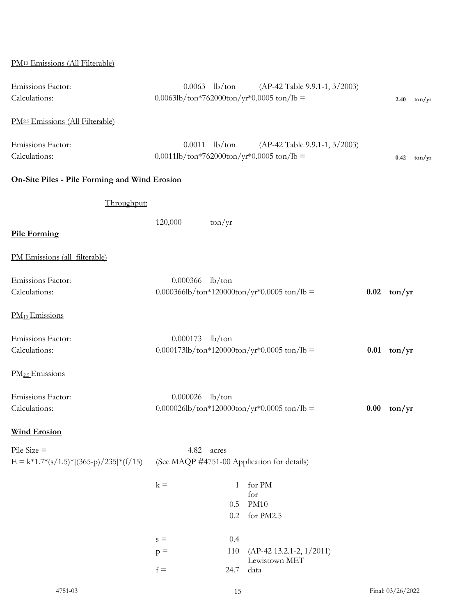| PM <sup>10</sup> Emissions (All Filterable)               |                                                                                                                                           |               |                     |
|-----------------------------------------------------------|-------------------------------------------------------------------------------------------------------------------------------------------|---------------|---------------------|
| Emissions Factor:<br>Calculations:                        | $0.0063$ lb/ton<br>(AP-42 Table 9.9.1-1, 3/2003)<br>$0.0063$ lb/ton*762000ton/yr*0.0005 ton/lb =                                          | 2.40          | $\frac{\tan(y)}{y}$ |
| PM <sub>2.5</sub> Emissions (All Filterable)              |                                                                                                                                           |               |                     |
| Emissions Factor:<br>Calculations:                        | $0.0011$ lb/ton<br>$(AP-42 Table 9.9.1-1, 3/2003)$<br>$0.0011\text{lb}/\text{ton*}762000\text{ton}/\text{yr*}0.0005\text{ ton}/\text{lb}$ | 0.42          | $\frac{\tan(y)}{y}$ |
| <b>On-Site Piles - Pile Forming and Wind Erosion</b>      |                                                                                                                                           |               |                     |
| Throughput:                                               |                                                                                                                                           |               |                     |
| <b>Pile Forming</b>                                       | 120,000<br>$\text{ton}/\text{yr}$                                                                                                         |               |                     |
| PM Emissions (all filterable)                             |                                                                                                                                           |               |                     |
| Emissions Factor:<br>Calculations:                        | $0.000366$ lb/ton<br>$0.000366$ lb/ton*120000ton/yr*0.0005 ton/lb =                                                                       | $0.02$ ton/yr |                     |
| $PM_{10}$ Emissions                                       |                                                                                                                                           |               |                     |
| Emissions Factor:<br>Calculations:                        | $0.000173$ lb/ton<br>$0.000173$ lb/ton*120000ton/yr*0.0005 ton/lb =                                                                       | $0.01$ ton/yr |                     |
| PM <sub>2.5</sub> Emissions                               |                                                                                                                                           |               |                     |
| Emissions Factor:<br>Calculations:                        | $0.000026$ lb/ton<br>0.000026lb/ton*120000ton/yr*0.0005 ton/lb =                                                                          | $0.00$ ton/yr |                     |
| <b>Wind Erosion</b>                                       |                                                                                                                                           |               |                     |
| Pile Size $=$<br>$E = k*1.7*(s/1.5)*[(365-p)/235)*(f/15)$ | 4.82 acres<br>(See MAQP #4751-00 Application for details)                                                                                 |               |                     |
|                                                           | for PM<br>$k =$<br>1<br>for<br><b>PM10</b><br>0.5<br>for PM2.5<br>0.2                                                                     |               |                     |
|                                                           | 0.4<br>$\rm s =$<br>$(AP-42 13.2.1-2, 1/2011)$<br>110<br>$p =$<br>Lewistown MET<br>$f =$<br>24.7<br>data                                  |               |                     |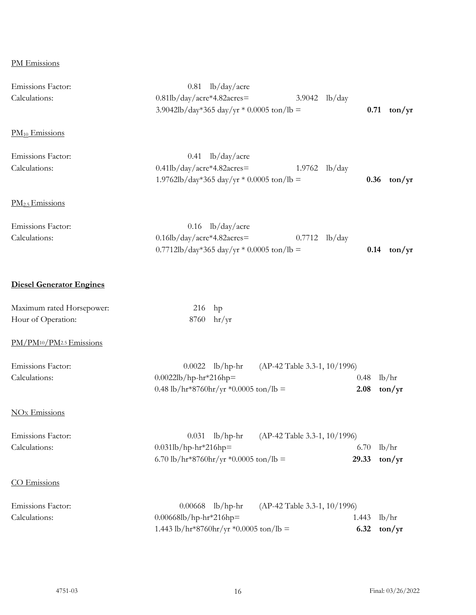# PM Emissions

| Emissions Factor:<br>Calculations:               | lb/day/acre<br>0.81<br>0.81lb/day/acre*4.82acres=<br>3.9042<br>lb/day<br>3.9042lb/day*365 day/yr * 0.0005 ton/lb =           | 0.71          | $\frac{\tan}{\text{yr}}$          |
|--------------------------------------------------|------------------------------------------------------------------------------------------------------------------------------|---------------|-----------------------------------|
| $PM_{10}$ Emissions                              |                                                                                                                              |               |                                   |
| Emissions Factor:<br>Calculations:               | lb/day/acre<br>0.41<br>$0.41$ lb/day/acre*4.82acres=<br>$1.9762$ lb/day<br>1.9762lb/day*365 day/yr * 0.0005 ton/lb =         | 0.36          | $\frac{\tan}{\text{yr}}$          |
| PM <sub>2.5</sub> Emissions                      |                                                                                                                              |               |                                   |
| Emissions Factor:<br>Calculations:               | lb/day/acre<br>0.16<br>$0.16$ lb/day/acre*4.82acres=<br>0.7712<br>lb/day<br>0.7712lb/day*365 day/yr * 0.0005 ton/lb =        | 0.14          | $\frac{\tan}{\text{yr}}$          |
| <b>Diesel Generator Engines</b>                  |                                                                                                                              |               |                                   |
| Maximum rated Horsepower:<br>Hour of Operation:  | 216<br>hp<br>8760<br>hr/yr                                                                                                   |               |                                   |
| PM/PM <sup>10</sup> /PM <sup>2.5</sup> Emissions |                                                                                                                              |               |                                   |
| Emissions Factor:<br>Calculations:               | $lb/hp-hr$<br>(AP-42 Table 3.3-1, 10/1996)<br>0.0022<br>$0.0022$ lb/hp-hr*216hp=<br>0.48 lb/hr*8760hr/yr *0.0005 ton/lb =    | 0.48<br>2.08  | lb/hr<br>$\frac{\tan}{\text{yr}}$ |
| <b>NO<sub>x</sub></b> Emissions                  |                                                                                                                              |               |                                   |
| Emissions Factor:<br>Calculations:               | $lb/hp-hr$<br>(AP-42 Table 3.3-1, 10/1996)<br>0.031<br>$0.031$ lb/hp-hr*216hp=<br>6.70 lb/hr*8760hr/yr *0.0005 ton/lb =      | 6.70<br>29.33 | lb/hr<br>$\frac{\tan}{\text{yr}}$ |
| CO Emissions                                     |                                                                                                                              |               |                                   |
| Emissions Factor:<br>Calculations:               | $lb/hp-hr$<br>(AP-42 Table 3.3-1, 10/1996)<br>0.00668<br>$0.00668$ lb/hp-hr*216hp=<br>1.443 lb/hr*8760hr/yr *0.0005 ton/lb = | 1.443<br>6.32 | lb/hr<br>$\text{ton/yr}$          |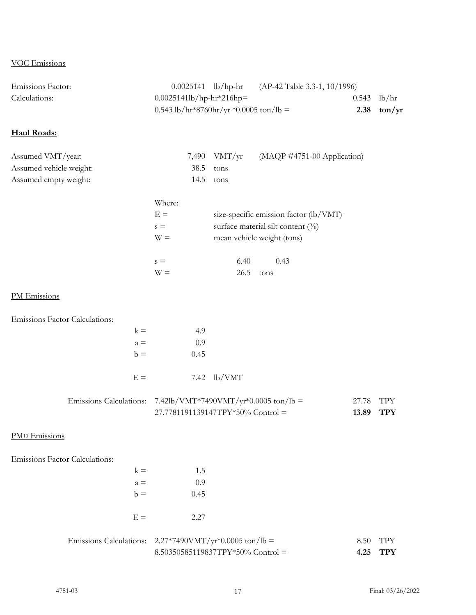#### VOC Emissions

|                   | 0.543 lb/hr*8760hr/yr *0.0005 ton/lb =            | 2.38 | ton/yr        |
|-------------------|---------------------------------------------------|------|---------------|
| Calculations:     | $0.0025141 \text{lb/hp-hr}$ *216hp=               |      | $0.543$ lb/hr |
| Emissions Factor: | $0.0025141$ lb/hp-hr (AP-42 Table 3.3-1, 10/1996) |      |               |

# **Haul Roads:**

| Assumed VMT/year:       |             | 7,490 VMT/yr $(MAQP #4751-00$ Application) |
|-------------------------|-------------|--------------------------------------------|
| Assumed vehicle weight: | 38.5 tons   |                                            |
| Assumed empty weight:   | $14.5$ tons |                                            |

| Where: |                                        |
|--------|----------------------------------------|
| $E =$  | size-specific emission factor (lb/VMT) |
| $s =$  | surface material silt content $(\%)$   |
| $W =$  | mean vehicle weight (tons)             |
| $s =$  | 6.40<br>0.43                           |
|        |                                        |
|        | 26.5<br>tons                           |

#### PM Emissions

Emissions Factor Calculations:

| $k =$ | 4.9  |               |
|-------|------|---------------|
| $a =$ | 0.9  |               |
| $h =$ | 0.45 |               |
|       |      |               |
| $E =$ |      | $7.42$ lb/VMT |

| Emissions Calculations: 7.42lb/VMT*7490VMT/yr*0.0005 ton/lb = | 27.78 TPY |  |
|---------------------------------------------------------------|-----------|--|
| $27.7781191139147TPY*50\% Control =$                          | 13.89 TPY |  |

# PM<sup>10</sup> Emissions

Emissions Factor Calculations:

|       | $8.50350585119837TPY*50%$ Control =                               | 4.25 | <b>TPY</b> |
|-------|-------------------------------------------------------------------|------|------------|
|       | Emissions Calculations: $2.27*7490VMT/yr*0.0005 \text{ ton/lb} =$ | 8.50 | TPY        |
| $E =$ | 2.27                                                              |      |            |
|       |                                                                   |      |            |
| $b =$ | 0.45                                                              |      |            |
| $a =$ | 0.9                                                               |      |            |
| $k =$ | 1.5                                                               |      |            |
|       |                                                                   |      |            |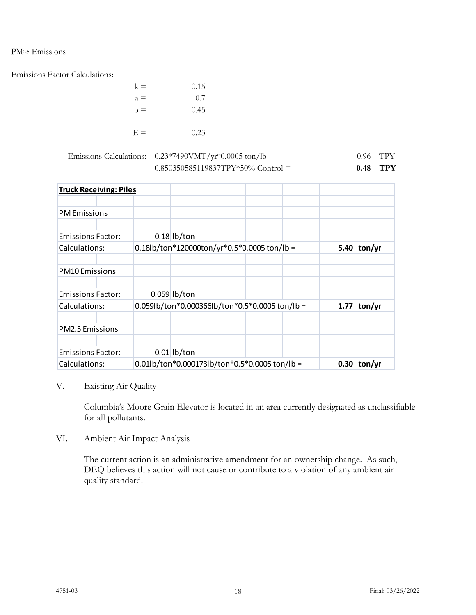#### PM<sub>2.5</sub> Emissions

Emissions Factor Calculations:

| $k =$ | 0.15 |  |
|-------|------|--|
| $a =$ | 0.7  |  |
| $b =$ | 0.45 |  |
|       |      |  |
| $E =$ | 0.23 |  |

| Emissions Calculations: $0.23*7490 \text{VMT}/\text{yr}^*0.0005 \text{ ton/lb} =$ | $0.96$ TPY |  |
|-----------------------------------------------------------------------------------|------------|--|
| $0.850350585119837TPY*50\% Control =$                                             | $0.48$ TPY |  |

| <b>Truck Receiving: Piles</b> |                                                                                                               |                |                                                |      |        |        |
|-------------------------------|---------------------------------------------------------------------------------------------------------------|----------------|------------------------------------------------|------|--------|--------|
| <b>PM Emissions</b>           |                                                                                                               |                |                                                |      |        |        |
| <b>Emissions Factor:</b>      |                                                                                                               | $0.18$ lb/ton  |                                                |      |        |        |
| Calculations:                 |                                                                                                               |                | $0.18$ lb/ton*120000ton/yr*0.5*0.0005 ton/lb = |      | 5.40   | ton/yr |
| <b>PM10 Emissions</b>         |                                                                                                               |                |                                                |      |        |        |
| <b>Emissions Factor:</b>      |                                                                                                               | $0.059$ lb/ton |                                                |      |        |        |
| Calculations:                 | $0.059$ lb/ton*0.000366lb/ton*0.5*0.0005 ton/lb =                                                             |                |                                                | 1.77 | ton/yr |        |
| <b>PM2.5 Emissions</b>        |                                                                                                               |                |                                                |      |        |        |
| <b>Emissions Factor:</b>      |                                                                                                               | $0.01$ lb/ton  |                                                |      |        |        |
| Calculations:                 | $0.01\text{lb}/\text{ton}^*0.000173\text{lb}/\text{ton}^*0.5^*0.0005\text{ton}/\text{lb} =$<br>0.30<br>ton/yr |                |                                                |      |        |        |

# V. Existing Air Quality

Columbia's Moore Grain Elevator is located in an area currently designated as unclassifiable for all pollutants.

VI. Ambient Air Impact Analysis

The current action is an administrative amendment for an ownership change. As such, DEQ believes this action will not cause or contribute to a violation of any ambient air quality standard.